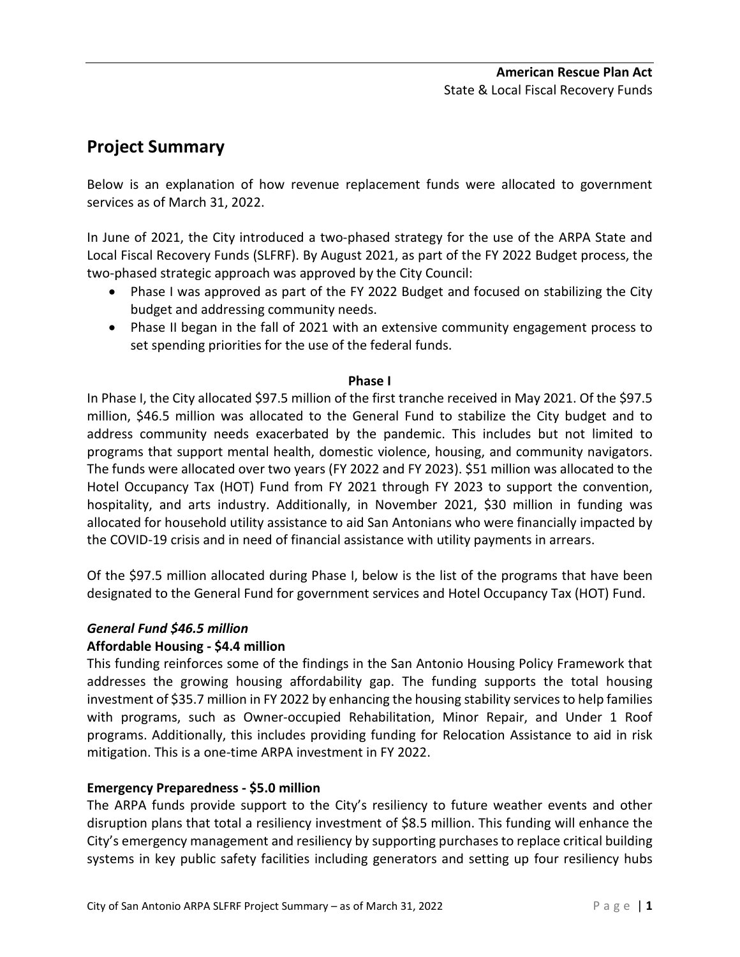# **Project Summary**

Below is an explanation of how revenue replacement funds were allocated to government services as of March 31, 2022.

In June of 2021, the City introduced a two-phased strategy for the use of the ARPA State and Local Fiscal Recovery Funds (SLFRF). By August 2021, as part of the FY 2022 Budget process, the two-phased strategic approach was approved by the City Council:

- Phase I was approved as part of the FY 2022 Budget and focused on stabilizing the City budget and addressing community needs.
- Phase II began in the fall of 2021 with an extensive community engagement process to set spending priorities for the use of the federal funds.

## **Phase I**

In Phase I, the City allocated \$97.5 million of the first tranche received in May 2021. Of the \$97.5 million, \$46.5 million was allocated to the General Fund to stabilize the City budget and to address community needs exacerbated by the pandemic. This includes but not limited to programs that support mental health, domestic violence, housing, and community navigators. The funds were allocated over two years (FY 2022 and FY 2023). \$51 million was allocated to the Hotel Occupancy Tax (HOT) Fund from FY 2021 through FY 2023 to support the convention, hospitality, and arts industry. Additionally, in November 2021, \$30 million in funding was allocated for household utility assistance to aid San Antonians who were financially impacted by the COVID-19 crisis and in need of financial assistance with utility payments in arrears.

Of the \$97.5 million allocated during Phase I, below is the list of the programs that have been designated to the General Fund for government services and Hotel Occupancy Tax (HOT) Fund.

## *General Fund \$46.5 million*

## **Affordable Housing - \$4.4 million**

This funding reinforces some of the findings in the San Antonio Housing Policy Framework that addresses the growing housing affordability gap. The funding supports the total housing investment of \$35.7 million in FY 2022 by enhancing the housing stability services to help families with programs, such as Owner-occupied Rehabilitation, Minor Repair, and Under 1 Roof programs. Additionally, this includes providing funding for Relocation Assistance to aid in risk mitigation. This is a one-time ARPA investment in FY 2022.

# **Emergency Preparedness - \$5.0 million**

The ARPA funds provide support to the City's resiliency to future weather events and other disruption plans that total a resiliency investment of \$8.5 million. This funding will enhance the City's emergency management and resiliency by supporting purchases to replace critical building systems in key public safety facilities including generators and setting up four resiliency hubs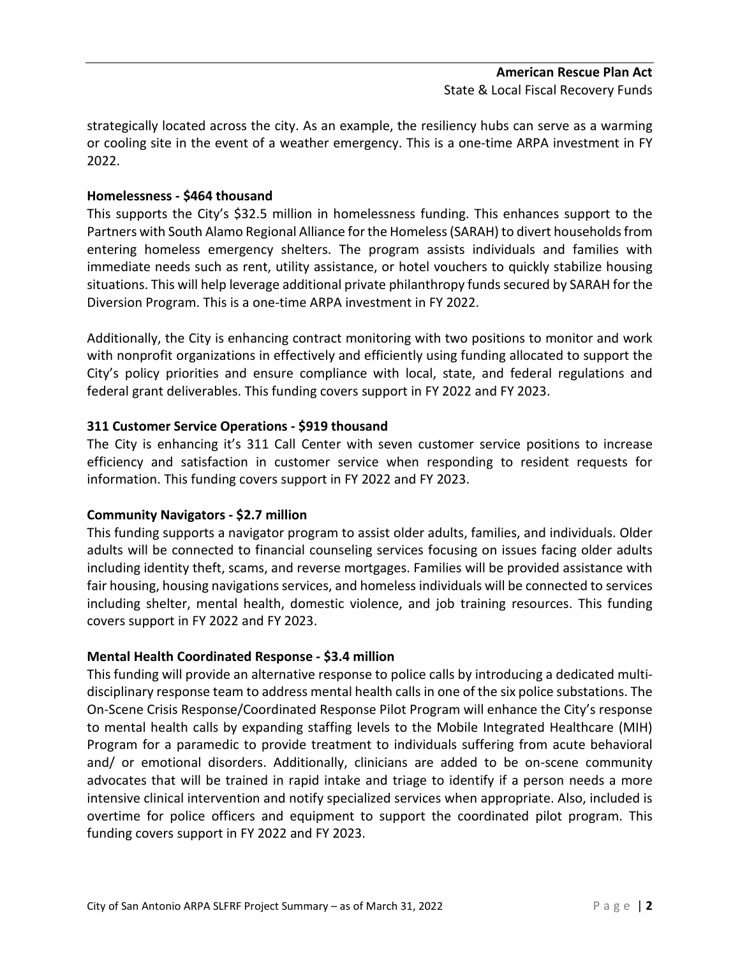strategically located across the city. As an example, the resiliency hubs can serve as a warming or cooling site in the event of a weather emergency. This is a one-time ARPA investment in FY 2022.

# **Homelessness - \$464 thousand**

This supports the City's \$32.5 million in homelessness funding. This enhances support to the Partners with South Alamo Regional Alliance for the Homeless (SARAH) to divert households from entering homeless emergency shelters. The program assists individuals and families with immediate needs such as rent, utility assistance, or hotel vouchers to quickly stabilize housing situations. This will help leverage additional private philanthropy funds secured by SARAH for the Diversion Program. This is a one-time ARPA investment in FY 2022.

Additionally, the City is enhancing contract monitoring with two positions to monitor and work with nonprofit organizations in effectively and efficiently using funding allocated to support the City's policy priorities and ensure compliance with local, state, and federal regulations and federal grant deliverables. This funding covers support in FY 2022 and FY 2023.

# **311 Customer Service Operations - \$919 thousand**

The City is enhancing it's 311 Call Center with seven customer service positions to increase efficiency and satisfaction in customer service when responding to resident requests for information. This funding covers support in FY 2022 and FY 2023.

## **Community Navigators - \$2.7 million**

This funding supports a navigator program to assist older adults, families, and individuals. Older adults will be connected to financial counseling services focusing on issues facing older adults including identity theft, scams, and reverse mortgages. Families will be provided assistance with fair housing, housing navigations services, and homeless individuals will be connected to services including shelter, mental health, domestic violence, and job training resources. This funding covers support in FY 2022 and FY 2023.

## **Mental Health Coordinated Response - \$3.4 million**

This funding will provide an alternative response to police calls by introducing a dedicated multidisciplinary response team to address mental health calls in one of the six police substations. The On-Scene Crisis Response/Coordinated Response Pilot Program will enhance the City's response to mental health calls by expanding staffing levels to the Mobile Integrated Healthcare (MIH) Program for a paramedic to provide treatment to individuals suffering from acute behavioral and/ or emotional disorders. Additionally, clinicians are added to be on-scene community advocates that will be trained in rapid intake and triage to identify if a person needs a more intensive clinical intervention and notify specialized services when appropriate. Also, included is overtime for police officers and equipment to support the coordinated pilot program. This funding covers support in FY 2022 and FY 2023.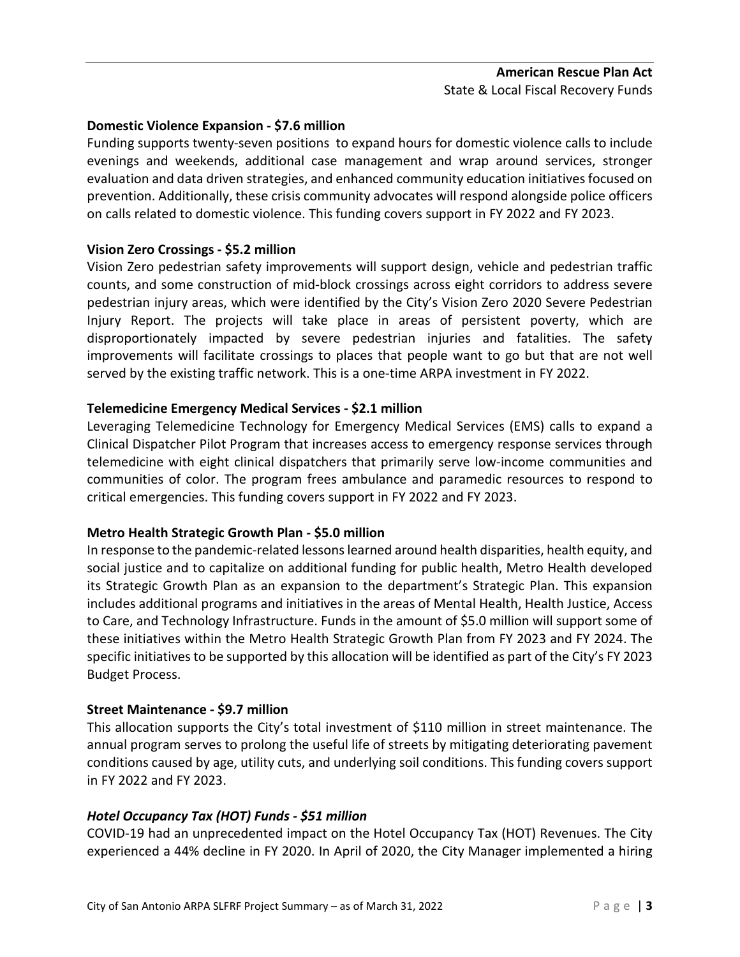# **Domestic Violence Expansion - \$7.6 million**

Funding supports twenty-seven positions to expand hours for domestic violence calls to include evenings and weekends, additional case management and wrap around services, stronger evaluation and data driven strategies, and enhanced community education initiatives focused on prevention. Additionally, these crisis community advocates will respond alongside police officers on calls related to domestic violence. This funding covers support in FY 2022 and FY 2023.

# **Vision Zero Crossings - \$5.2 million**

Vision Zero pedestrian safety improvements will support design, vehicle and pedestrian traffic counts, and some construction of mid-block crossings across eight corridors to address severe pedestrian injury areas, which were identified by the City's Vision Zero 2020 Severe Pedestrian Injury Report. The projects will take place in areas of persistent poverty, which are disproportionately impacted by severe pedestrian injuries and fatalities. The safety improvements will facilitate crossings to places that people want to go but that are not well served by the existing traffic network. This is a one-time ARPA investment in FY 2022.

# **Telemedicine Emergency Medical Services - \$2.1 million**

Leveraging Telemedicine Technology for Emergency Medical Services (EMS) calls to expand a Clinical Dispatcher Pilot Program that increases access to emergency response services through telemedicine with eight clinical dispatchers that primarily serve low-income communities and communities of color. The program frees ambulance and paramedic resources to respond to critical emergencies. This funding covers support in FY 2022 and FY 2023.

## **Metro Health Strategic Growth Plan - \$5.0 million**

In response to the pandemic-related lessons learned around health disparities, health equity, and social justice and to capitalize on additional funding for public health, Metro Health developed its Strategic Growth Plan as an expansion to the department's Strategic Plan. This expansion includes additional programs and initiatives in the areas of Mental Health, Health Justice, Access to Care, and Technology Infrastructure. Funds in the amount of \$5.0 million will support some of these initiatives within the Metro Health Strategic Growth Plan from FY 2023 and FY 2024. The specific initiatives to be supported by this allocation will be identified as part of the City's FY 2023 Budget Process.

## **Street Maintenance - \$9.7 million**

This allocation supports the City's total investment of \$110 million in street maintenance. The annual program serves to prolong the useful life of streets by mitigating deteriorating pavement conditions caused by age, utility cuts, and underlying soil conditions. This funding covers support in FY 2022 and FY 2023.

## *Hotel Occupancy Tax (HOT) Funds - \$51 million*

COVID-19 had an unprecedented impact on the Hotel Occupancy Tax (HOT) Revenues. The City experienced a 44% decline in FY 2020. In April of 2020, the City Manager implemented a hiring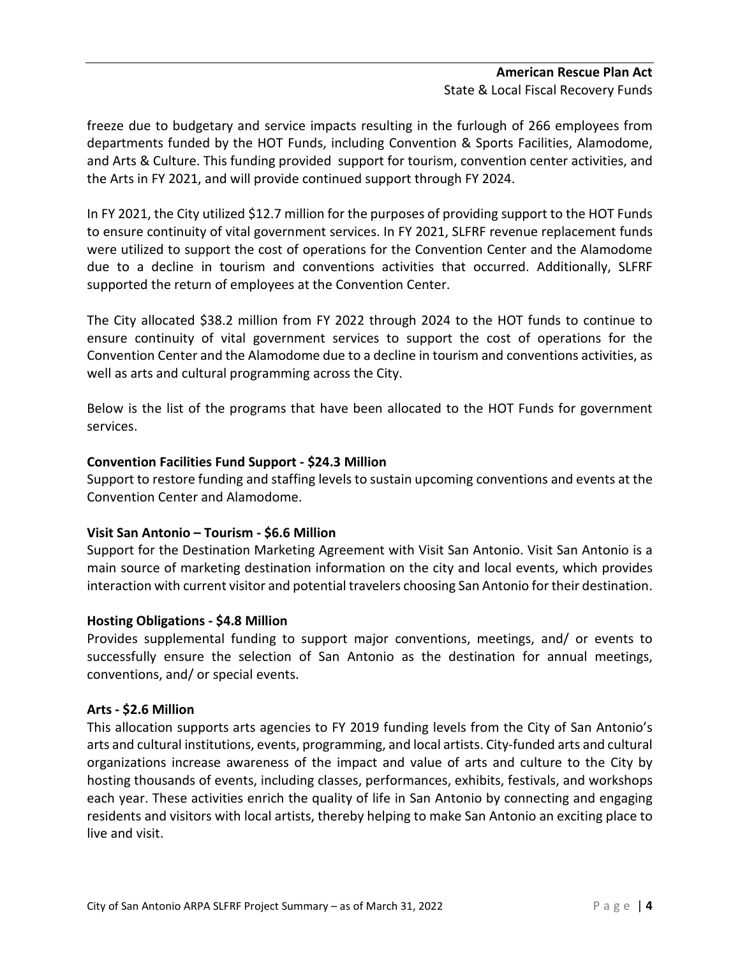## **American Rescue Plan Act** State & Local Fiscal Recovery Funds

freeze due to budgetary and service impacts resulting in the furlough of 266 employees from departments funded by the HOT Funds, including Convention & Sports Facilities, Alamodome, and Arts & Culture. This funding provided support for tourism, convention center activities, and the Arts in FY 2021, and will provide continued support through FY 2024.

In FY 2021, the City utilized \$12.7 million for the purposes of providing support to the HOT Funds to ensure continuity of vital government services. In FY 2021, SLFRF revenue replacement funds were utilized to support the cost of operations for the Convention Center and the Alamodome due to a decline in tourism and conventions activities that occurred. Additionally, SLFRF supported the return of employees at the Convention Center.

The City allocated \$38.2 million from FY 2022 through 2024 to the HOT funds to continue to ensure continuity of vital government services to support the cost of operations for the Convention Center and the Alamodome due to a decline in tourism and conventions activities, as well as arts and cultural programming across the City.

Below is the list of the programs that have been allocated to the HOT Funds for government services.

# **Convention Facilities Fund Support - \$24.3 Million**

Support to restore funding and staffing levels to sustain upcoming conventions and events at the Convention Center and Alamodome.

# **Visit San Antonio – Tourism - \$6.6 Million**

Support for the Destination Marketing Agreement with Visit San Antonio. Visit San Antonio is a main source of marketing destination information on the city and local events, which provides interaction with current visitor and potential travelers choosing San Antonio for their destination.

# **Hosting Obligations - \$4.8 Million**

Provides supplemental funding to support major conventions, meetings, and/ or events to successfully ensure the selection of San Antonio as the destination for annual meetings, conventions, and/ or special events.

## **Arts - \$2.6 Million**

This allocation supports arts agencies to FY 2019 funding levels from the City of San Antonio's arts and cultural institutions, events, programming, and local artists. City-funded arts and cultural organizations increase awareness of the impact and value of arts and culture to the City by hosting thousands of events, including classes, performances, exhibits, festivals, and workshops each year. These activities enrich the quality of life in San Antonio by connecting and engaging residents and visitors with local artists, thereby helping to make San Antonio an exciting place to live and visit.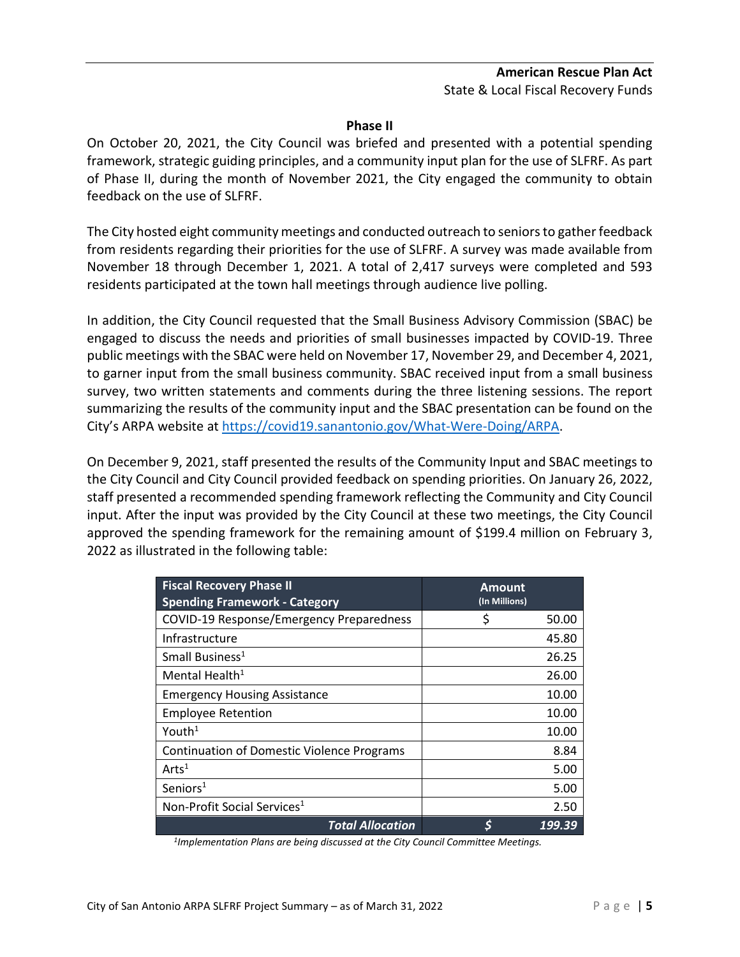## **American Rescue Plan Act** State & Local Fiscal Recovery Funds

#### **Phase II**

On October 20, 2021, the City Council was briefed and presented with a potential spending framework, strategic guiding principles, and a community input plan for the use of SLFRF. As part of Phase II, during the month of November 2021, the City engaged the community to obtain feedback on the use of SLFRF.

The City hosted eight community meetings and conducted outreach to seniors to gather feedback from residents regarding their priorities for the use of SLFRF. A survey was made available from November 18 through December 1, 2021. A total of 2,417 surveys were completed and 593 residents participated at the town hall meetings through audience live polling.

In addition, the City Council requested that the Small Business Advisory Commission (SBAC) be engaged to discuss the needs and priorities of small businesses impacted by COVID-19. Three public meetings with the SBAC were held on November 17, November 29, and December 4, 2021, to garner input from the small business community. SBAC received input from a small business survey, two written statements and comments during the three listening sessions. The report summarizing the results of the community input and the SBAC presentation can be found on the City's ARPA website at [https://covid19.sanantonio.gov/What-Were-Doing/ARPA.](https://covid19.sanantonio.gov/What-Were-Doing/ARPA)

On December 9, 2021, staff presented the results of the Community Input and SBAC meetings to the City Council and City Council provided feedback on spending priorities. On January 26, 2022, staff presented a recommended spending framework reflecting the Community and City Council input. After the input was provided by the City Council at these two meetings, the City Council approved the spending framework for the remaining amount of \$199.4 million on February 3, 2022 as illustrated in the following table:

| <b>Fiscal Recovery Phase II</b><br><b>Spending Framework - Category</b> | <b>Amount</b><br>(In Millions) |
|-------------------------------------------------------------------------|--------------------------------|
| COVID-19 Response/Emergency Preparedness                                | \$<br>50.00                    |
| Infrastructure                                                          | 45.80                          |
| Small Business <sup>1</sup>                                             | 26.25                          |
| Mental Health <sup>1</sup>                                              | 26.00                          |
| <b>Emergency Housing Assistance</b>                                     | 10.00                          |
| <b>Employee Retention</b>                                               | 10.00                          |
| Youth <sup>1</sup>                                                      | 10.00                          |
| <b>Continuation of Domestic Violence Programs</b>                       | 8.84                           |
| Arts <sup>1</sup>                                                       | 5.00                           |
| Seniors $1$                                                             | 5.00                           |
| Non-Profit Social Services <sup>1</sup>                                 | 2.50                           |
| <b>Total Allocation</b>                                                 | S<br>199.39                    |

*1Implementation Plans are being discussed at the City Council Committee Meetings.*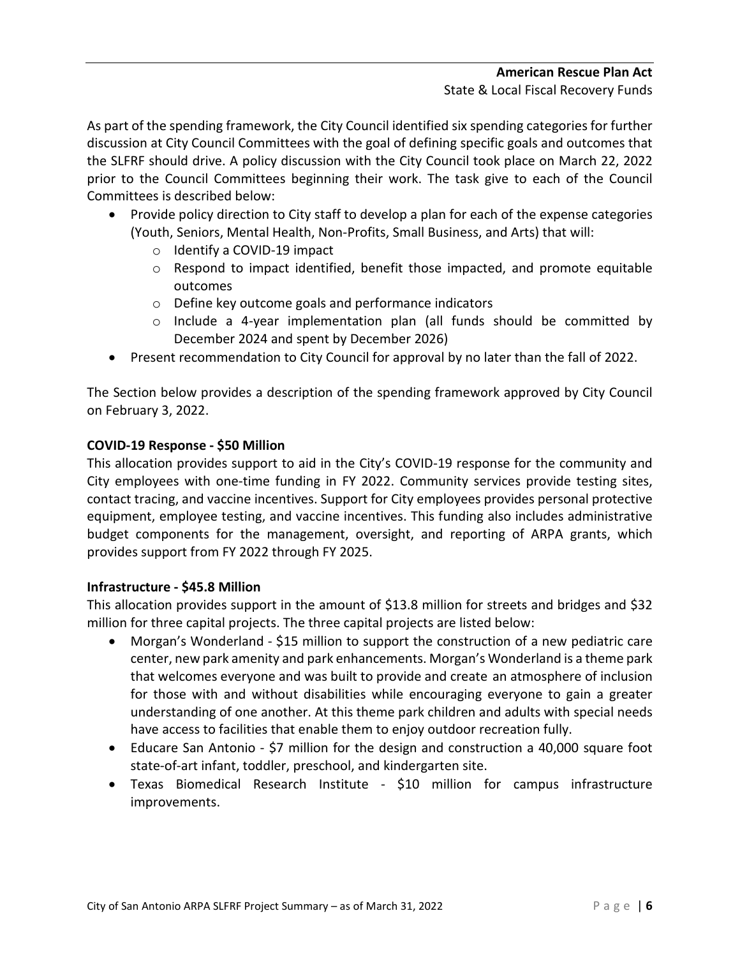As part of the spending framework, the City Council identified six spending categories for further discussion at City Council Committees with the goal of defining specific goals and outcomes that the SLFRF should drive. A policy discussion with the City Council took place on March 22, 2022 prior to the Council Committees beginning their work. The task give to each of the Council Committees is described below:

- Provide policy direction to City staff to develop a plan for each of the expense categories (Youth, Seniors, Mental Health, Non-Profits, Small Business, and Arts) that will:
	- o Identify a COVID-19 impact
	- $\circ$  Respond to impact identified, benefit those impacted, and promote equitable outcomes
	- o Define key outcome goals and performance indicators
	- $\circ$  Include a 4-year implementation plan (all funds should be committed by December 2024 and spent by December 2026)
- Present recommendation to City Council for approval by no later than the fall of 2022.

The Section below provides a description of the spending framework approved by City Council on February 3, 2022.

# **COVID-19 Response - \$50 Million**

This allocation provides support to aid in the City's COVID-19 response for the community and City employees with one-time funding in FY 2022. Community services provide testing sites, contact tracing, and vaccine incentives. Support for City employees provides personal protective equipment, employee testing, and vaccine incentives. This funding also includes administrative budget components for the management, oversight, and reporting of ARPA grants, which provides support from FY 2022 through FY 2025.

# **Infrastructure - \$45.8 Million**

This allocation provides support in the amount of \$13.8 million for streets and bridges and \$32 million for three capital projects. The three capital projects are listed below:

- Morgan's Wonderland \$15 million to support the construction of a new pediatric care center, new park amenity and park enhancements. Morgan's Wonderland is a theme park that welcomes everyone and was built to provide and create an atmosphere of inclusion for those with and without disabilities while encouraging everyone to gain a greater understanding of one another. At this theme park children and adults with special needs have access to facilities that enable them to enjoy outdoor recreation fully.
- Educare San Antonio \$7 million for the design and construction a 40,000 square foot state-of-art infant, toddler, preschool, and kindergarten site.
- Texas Biomedical Research Institute \$10 million for campus infrastructure improvements.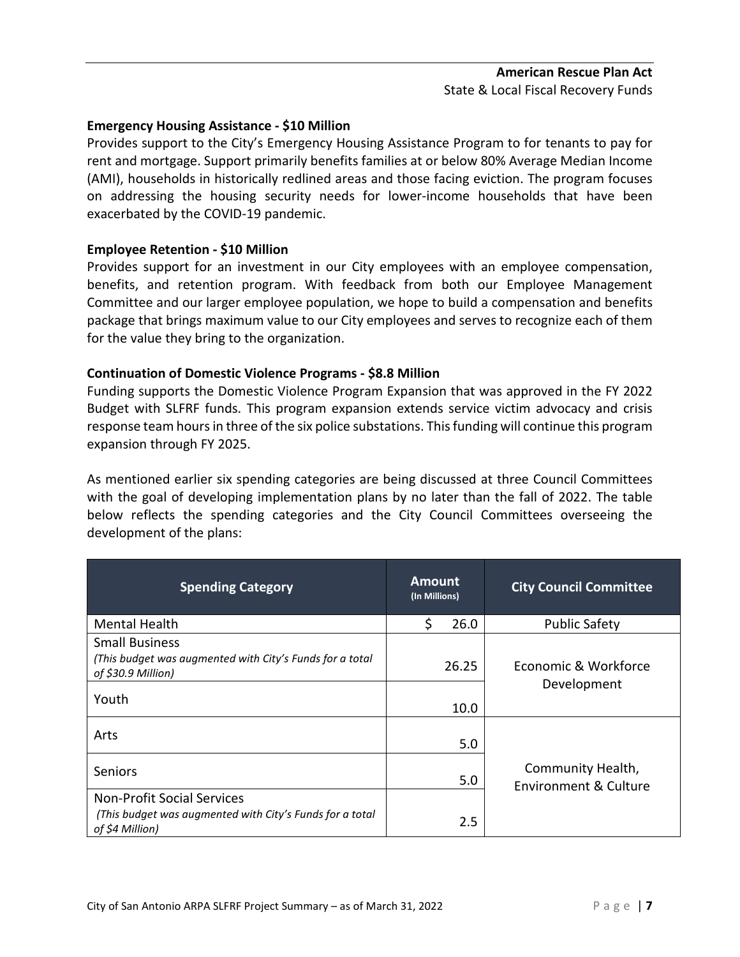# **American Rescue Plan Act** State & Local Fiscal Recovery Funds

#### **Emergency Housing Assistance - \$10 Million**

Provides support to the City's Emergency Housing Assistance Program to for tenants to pay for rent and mortgage. Support primarily benefits families at or below 80% Average Median Income (AMI), households in historically redlined areas and those facing eviction. The program focuses on addressing the housing security needs for lower-income households that have been exacerbated by the COVID-19 pandemic.

#### **Employee Retention - \$10 Million**

Provides support for an investment in our City employees with an employee compensation, benefits, and retention program. With feedback from both our Employee Management Committee and our larger employee population, we hope to build a compensation and benefits package that brings maximum value to our City employees and serves to recognize each of them for the value they bring to the organization.

#### **Continuation of Domestic Violence Programs - \$8.8 Million**

Funding supports the Domestic Violence Program Expansion that was approved in the FY 2022 Budget with SLFRF funds. This program expansion extends service victim advocacy and crisis response team hours in three of the six police substations. This funding will continue this program expansion through FY 2025.

As mentioned earlier six spending categories are being discussed at three Council Committees with the goal of developing implementation plans by no later than the fall of 2022. The table below reflects the spending categories and the City Council Committees overseeing the development of the plans:

| <b>Spending Category</b>                                                       | <b>Amount</b><br>(In Millions) | <b>City Council Committee</b>                         |
|--------------------------------------------------------------------------------|--------------------------------|-------------------------------------------------------|
| <b>Mental Health</b>                                                           | 26.0                           | <b>Public Safety</b>                                  |
| <b>Small Business</b>                                                          |                                |                                                       |
| (This budget was augmented with City's Funds for a total<br>of \$30.9 Million) | 26.25                          | Economic & Workforce                                  |
| Youth                                                                          | 10.0                           | Development                                           |
| Arts                                                                           | 5.0                            |                                                       |
| <b>Seniors</b>                                                                 | 5.0                            | Community Health,<br><b>Environment &amp; Culture</b> |
| <b>Non-Profit Social Services</b>                                              |                                |                                                       |
| (This budget was augmented with City's Funds for a total<br>of \$4 Million)    | 2.5                            |                                                       |